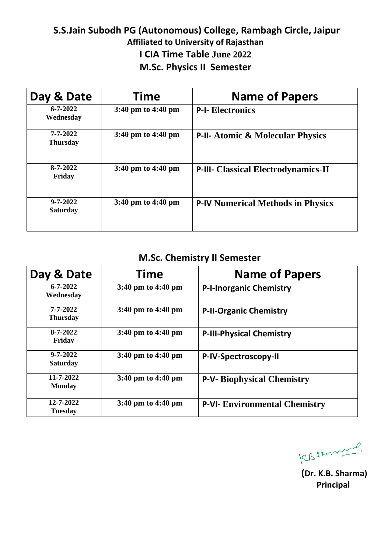#### **S.S.Jain Subodh PG (Autonomous) College, Rambagh Circle, Jaipur Affiliated to University of Rajasthan I CIA Time Table June 2022 M.Sc. Physics II Semester**

| Day & Date                        | Time                                   | <b>Name of Papers</b>                       |
|-----------------------------------|----------------------------------------|---------------------------------------------|
| $6 - 7 - 2022$<br>Wednesday       | $3:40 \text{ pm}$ to $4:40 \text{ pm}$ | <b>P-I- Electronics</b>                     |
| 7-7-2022<br><b>Thursday</b>       | $3:40 \text{ pm}$ to $4:40 \text{ pm}$ | <b>P-II- Atomic &amp; Molecular Physics</b> |
| $8 - 7 - 2022$<br>Friday          | $3:40 \text{ pm}$ to $4:40 \text{ pm}$ | <b>P-III- Classical Electrodynamics-II</b>  |
| $9 - 7 - 2022$<br><b>Saturday</b> | $3:40 \text{ pm}$ to $4:40 \text{ pm}$ | <b>P-IV Numerical Methods in Physics</b>    |

# **M.Sc. Chemistry II Semester**

| Day & Date                        | <b>Time</b>                            | <b>Name of Papers</b>                |
|-----------------------------------|----------------------------------------|--------------------------------------|
| $6 - 7 - 2022$<br>Wednesday       | $3:40 \text{ pm}$ to $4:40 \text{ pm}$ | <b>P-I-Inorganic Chemistry</b>       |
| 7-7-2022<br><b>Thursday</b>       | 3:40 pm to 4:40 pm                     | <b>P-II-Organic Chemistry</b>        |
| $8 - 7 - 2022$<br>Friday          | $3:40 \text{ pm}$ to $4:40 \text{ pm}$ | <b>P-III-Physical Chemistry</b>      |
| $9 - 7 - 2022$<br><b>Saturday</b> | 3:40 pm to 4:40 pm                     | P-IV-Spectroscopy-II                 |
| 11-7-2022<br><b>Monday</b>        | $3:40 \text{ pm}$ to $4:40 \text{ pm}$ | <b>P-V- Biophysical Chemistry</b>    |
| 12-7-2022<br><b>Tuesday</b>       | 3:40 pm to 4:40 pm                     | <b>P-VI- Environmental Chemistry</b> |

CBSsonnel.

**(Dr. K.B. Sharma) Principal**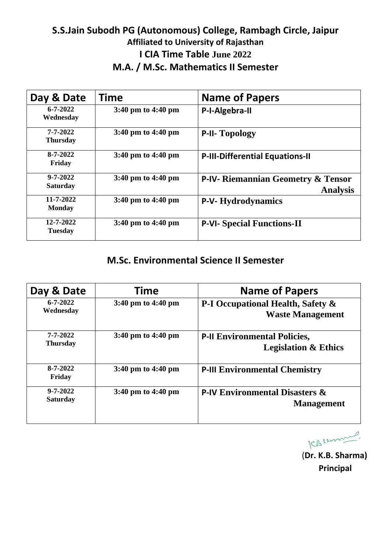#### **S.S.Jain Subodh PG (Autonomous) College, Rambagh Circle, Jaipur Affiliated to University of Rajasthan I CIA Time Table June 2022 M.A. / M.Sc. Mathematics II Semester**

| Day & Date                        | <b>Time</b>                            | <b>Name of Papers</b>                                            |
|-----------------------------------|----------------------------------------|------------------------------------------------------------------|
| $6 - 7 - 2022$<br>Wednesday       | 3:40 pm to 4:40 pm                     | P-I-Algebra-II                                                   |
| $7 - 7 - 2022$<br><b>Thursday</b> | $3:40 \text{ pm}$ to $4:40 \text{ pm}$ | <b>P-II- Topology</b>                                            |
| 8-7-2022<br>Friday                | $3:40 \text{ pm}$ to $4:40 \text{ pm}$ | <b>P-III-Differential Equations-II</b>                           |
| $9 - 7 - 2022$<br><b>Saturday</b> | $3:40 \text{ pm}$ to $4:40 \text{ pm}$ | <b>P-IV- Riemannian Geometry &amp; Tensor</b><br><b>Analysis</b> |
| $11 - 7 - 2022$<br><b>Monday</b>  | 3:40 pm to 4:40 pm                     | <b>P-V-Hydrodynamics</b>                                         |
| 12-7-2022<br><b>Tuesday</b>       | $3:40 \text{ pm}$ to $4:40 \text{ pm}$ | <b>P-VI- Special Functions-II</b>                                |

#### **M.Sc. Environmental Science II Semester**

| Day & Date                        | <b>Time</b>                            | <b>Name of Papers</b>                                                   |
|-----------------------------------|----------------------------------------|-------------------------------------------------------------------------|
| $6 - 7 - 2022$<br>Wednesday       | 3:40 pm to 4:40 pm                     | <b>P-I Occupational Health, Safety &amp;</b><br><b>Waste Management</b> |
| 7-7-2022<br><b>Thursday</b>       | $3:40 \text{ pm}$ to $4:40 \text{ pm}$ | <b>P-II Environmental Policies,</b><br><b>Legislation &amp; Ethics</b>  |
| $8 - 7 - 2022$<br>Friday          | $3:40 \text{ pm}$ to $4:40 \text{ pm}$ | <b>P-III Environmental Chemistry</b>                                    |
| $9 - 7 - 2022$<br><b>Saturday</b> | 3:40 pm to 4:40 pm                     | <b>P-IV Environmental Disasters &amp;</b><br><b>Management</b>          |

KBSzonnel.

 (**Dr. K.B. Sharma) Principal**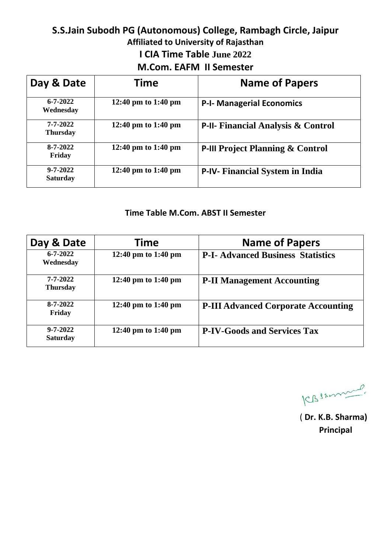# **S.S.Jain Subodh PG (Autonomous) College, Rambagh Circle, Jaipur Affiliated to University of Rajasthan I CIA Time Table June 2022 M.Com. EAFM II Semester**

| Day & Date                        | <b>Time</b>         | <b>Name of Papers</b>                         |
|-----------------------------------|---------------------|-----------------------------------------------|
| $6 - 7 - 2022$<br>Wednesday       | 12:40 pm to 1:40 pm | <b>P-I- Managerial Economics</b>              |
| 7-7-2022<br><b>Thursday</b>       | 12:40 pm to 1:40 pm | <b>P-II- Financial Analysis &amp; Control</b> |
| $8 - 7 - 2022$<br>Friday          | 12:40 pm to 1:40 pm | <b>P-III Project Planning &amp; Control</b>   |
| $9 - 7 - 2022$<br><b>Saturday</b> | 12:40 pm to 1:40 pm | P-IV- Financial System in India               |

#### **Time Table M.Com. ABST II Semester**

| Day & Date                        | <b>Time</b>         | <b>Name of Papers</b>                      |
|-----------------------------------|---------------------|--------------------------------------------|
| $6 - 7 - 2022$<br>Wednesday       | 12:40 pm to 1:40 pm | <b>P-I- Advanced Business Statistics</b>   |
| 7-7-2022<br><b>Thursday</b>       | 12:40 pm to 1:40 pm | <b>P-II Management Accounting</b>          |
| $8 - 7 - 2022$<br>Friday          | 12:40 pm to 1:40 pm | <b>P-III Advanced Corporate Accounting</b> |
| $9 - 7 - 2022$<br><b>Saturday</b> | 12:40 pm to 1:40 pm | <b>P-IV-Goods and Services Tax</b>         |

ICBSAmmen

( **Dr. K.B. Sharma) Principal**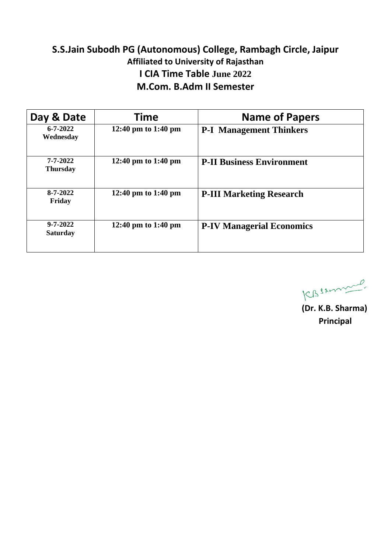# **S.S.Jain Subodh PG (Autonomous) College, Rambagh Circle, Jaipur Affiliated to University of Rajasthan I CIA Time Table June 2022 M.Com. B.Adm II Semester**

| Day & Date                        | Time                | <b>Name of Papers</b>            |
|-----------------------------------|---------------------|----------------------------------|
| $6 - 7 - 2022$<br>Wednesday       | 12:40 pm to 1:40 pm | <b>P-I Management Thinkers</b>   |
| $7 - 7 - 2022$<br><b>Thursday</b> | 12:40 pm to 1:40 pm | <b>P-II Business Environment</b> |
| $8 - 7 - 2022$<br>Friday          | 12:40 pm to 1:40 pm | <b>P-III Marketing Research</b>  |
| $9 - 7 - 2022$<br><b>Saturday</b> | 12:40 pm to 1:40 pm | <b>P-IV Managerial Economics</b> |

CBSsmme

 **(Dr. K.B. Sharma) Principal**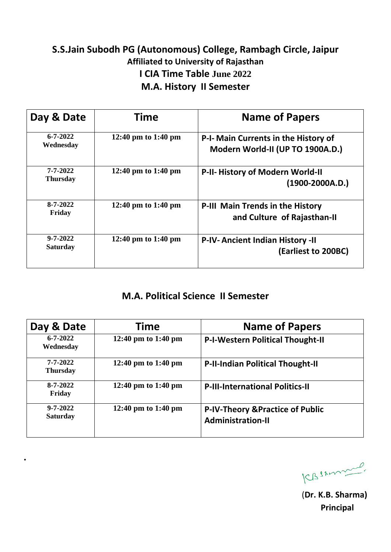# **S.S.Jain Subodh PG (Autonomous) College, Rambagh Circle, Jaipur Affiliated to University of Rajasthan I CIA Time Table June 2022 M.A. History II Semester**

| Day & Date                        | <b>Time</b>         | <b>Name of Papers</b>                                                    |
|-----------------------------------|---------------------|--------------------------------------------------------------------------|
| $6 - 7 - 2022$<br>Wednesday       | 12:40 pm to 1:40 pm | P-I- Main Currents in the History of<br>Modern World-II (UP TO 1900A.D.) |
| 7-7-2022<br><b>Thursday</b>       | 12:40 pm to 1:40 pm | P-II- History of Modern World-II<br>$(1900-2000A.D.)$                    |
| 8-7-2022<br>Friday                | 12:40 pm to 1:40 pm | P-III Main Trends in the History<br>and Culture of Rajasthan-II          |
| $9 - 7 - 2022$<br><b>Saturday</b> | 12:40 pm to 1:40 pm | <b>P-IV-Ancient Indian History -II</b><br>(Earliest to 200BC)            |

#### **M.A. Political Science II Semester**

| Day & Date                        | Time                | <b>Name of Papers</b>                                                   |
|-----------------------------------|---------------------|-------------------------------------------------------------------------|
| $6 - 7 - 2022$<br>Wednesday       | 12:40 pm to 1:40 pm | <b>P-I-Western Political Thought-II</b>                                 |
| 7-7-2022<br><b>Thursday</b>       | 12:40 pm to 1:40 pm | <b>P-II-Indian Political Thought-II</b>                                 |
| $8 - 7 - 2022$<br>Friday          | 12:40 pm to 1:40 pm | <b>P-III-International Politics-II</b>                                  |
| $9 - 7 - 2022$<br><b>Saturday</b> | 12:40 pm to 1:40 pm | <b>P-IV-Theory &amp; Practice of Public</b><br><b>Administration-II</b> |

**.** 

CBSAmme

 (**Dr. K.B. Sharma) Principal**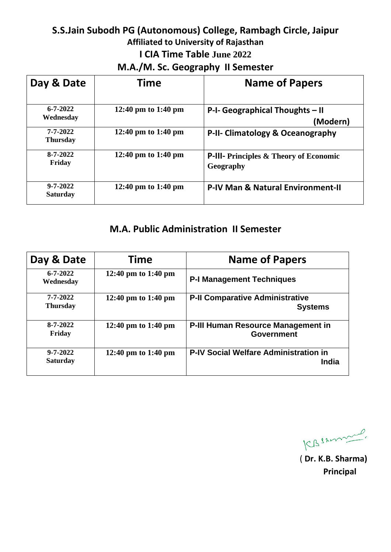#### **S.S.Jain Subodh PG (Autonomous) College, Rambagh Circle, Jaipur Affiliated to University of Rajasthan I CIA Time Table June 2022 M.A./M. Sc. Geography II Semester**

| Day & Date                        | <b>Time</b>         | <b>Name of Papers</b>                                      |
|-----------------------------------|---------------------|------------------------------------------------------------|
| $6 - 7 - 2022$<br>Wednesday       | 12:40 pm to 1:40 pm | P-I- Geographical Thoughts - II<br>(Modern)                |
| $7 - 7 - 2022$<br><b>Thursday</b> | 12:40 pm to 1:40 pm | P-II- Climatology & Oceanography                           |
| $8 - 7 - 2022$<br>Friday          | 12:40 pm to 1:40 pm | <b>P-III-</b> Principles & Theory of Economic<br>Geography |
| $9 - 7 - 2022$<br><b>Saturday</b> | 12:40 pm to 1:40 pm | <b>P-IV Man &amp; Natural Environment-II</b>               |

#### **M.A. Public Administration II Semester**

| Day & Date                        | <b>Time</b>         | <b>Name of Papers</b>                                        |
|-----------------------------------|---------------------|--------------------------------------------------------------|
| $6 - 7 - 2022$<br>Wednesday       | 12:40 pm to 1:40 pm | <b>P-I Management Techniques</b>                             |
| 7-7-2022<br><b>Thursday</b>       | 12:40 pm to 1:40 pm | <b>P-II Comparative Administrative</b><br><b>Systems</b>     |
| $8 - 7 - 2022$<br>Friday          | 12:40 pm to 1:40 pm | P-III Human Resource Management in<br><b>Government</b>      |
| $9 - 7 - 2022$<br><b>Saturday</b> | 12:40 pm to 1:40 pm | <b>P-IV Social Welfare Administration in</b><br><b>India</b> |

 $\sim$ KBSzon

( **Dr. K.B. Sharma) Principal**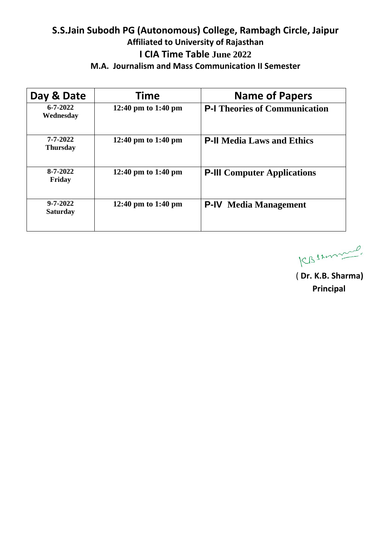# **S.S.Jain Subodh PG (Autonomous) College, Rambagh Circle, Jaipur Affiliated to University of Rajasthan I CIA Time Table June 2022**

| Day & Date                        | Time                | <b>Name of Papers</b>                |
|-----------------------------------|---------------------|--------------------------------------|
| $6 - 7 - 2022$<br>Wednesday       | 12:40 pm to 1:40 pm | <b>P-I</b> Theories of Communication |
| 7-7-2022<br><b>Thursday</b>       | 12:40 pm to 1:40 pm | <b>P-II</b> Media Laws and Ethics    |
| $8 - 7 - 2022$<br>Friday          | 12:40 pm to 1:40 pm | <b>P-III</b> Computer Applications   |
| $9 - 7 - 2022$<br><b>Saturday</b> | 12:40 pm to 1:40 pm | <b>P-IV</b> Media Management         |

 $\overline{\phantom{a}}$ KBSzonn

( **Dr. K.B. Sharma) Principal**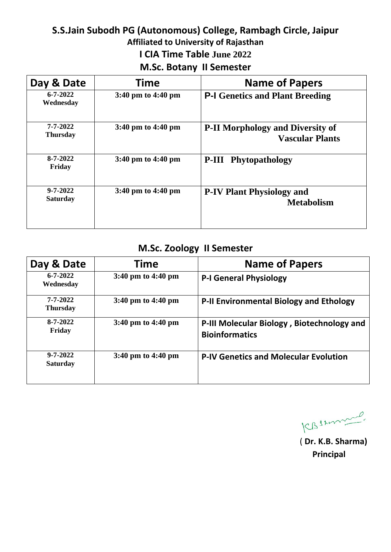#### **S.S.Jain Subodh PG (Autonomous) College, Rambagh Circle, Jaipur Affiliated to University of Rajasthan I CIA Time Table June 2022 M.Sc. Botany II Semester**

| Day & Date                        | Time                                   | <b>Name of Papers</b>                                             |
|-----------------------------------|----------------------------------------|-------------------------------------------------------------------|
| $6 - 7 - 2022$<br>Wednesday       | 3:40 pm to 4:40 pm                     | <b>P-I Genetics and Plant Breeding</b>                            |
| $7 - 7 - 2022$<br><b>Thursday</b> | $3:40 \text{ pm}$ to $4:40 \text{ pm}$ | <b>P-II Morphology and Diversity of</b><br><b>Vascular Plants</b> |
| $8 - 7 - 2022$<br>Friday          | $3:40 \text{ pm}$ to $4:40 \text{ pm}$ | <b>P-III</b> Phytopathology                                       |
| $9 - 7 - 2022$<br><b>Saturday</b> | $3:40 \text{ pm}$ to $4:40 \text{ pm}$ | <b>P-IV Plant Physiology and</b><br><b>Metabolism</b>             |

#### **M.Sc. Zoology II Semester**

| Day & Date                        | <b>Time</b>                            | <b>Name of Papers</b>                                               |
|-----------------------------------|----------------------------------------|---------------------------------------------------------------------|
| $6 - 7 - 2022$<br>Wednesday       | $3:40 \text{ pm}$ to $4:40 \text{ pm}$ | <b>P-I General Physiology</b>                                       |
| $7 - 7 - 2022$<br><b>Thursday</b> | $3:40 \text{ pm}$ to $4:40 \text{ pm}$ | P-II Environmental Biology and Ethology                             |
| $8 - 7 - 2022$<br>Friday          | $3:40 \text{ pm}$ to $4:40 \text{ pm}$ | P-III Molecular Biology, Biotechnology and<br><b>Bioinformatics</b> |
| $9 - 7 - 2022$<br><b>Saturday</b> | $3:40 \text{ pm}$ to $4:40 \text{ pm}$ | <b>P-IV Genetics and Molecular Evolution</b>                        |

CBSAmme

 ( **Dr. K.B. Sharma) Principal**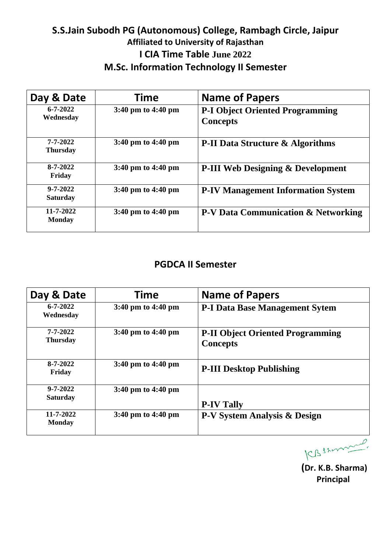# **S.S.Jain Subodh PG (Autonomous) College, Rambagh Circle, Jaipur Affiliated to University of Rajasthan I CIA Time Table June 2022 M.Sc. Information Technology II Semester**

| Day & Date                        | Time                                   | <b>Name of Papers</b>                                     |
|-----------------------------------|----------------------------------------|-----------------------------------------------------------|
| $6 - 7 - 2022$<br>Wednesday       | 3:40 pm to 4:40 pm                     | <b>P-I Object Oriented Programming</b><br><b>Concepts</b> |
| $7 - 7 - 2022$<br><b>Thursday</b> | $3:40 \text{ pm}$ to $4:40 \text{ pm}$ | <b>P-II Data Structure &amp; Algorithms</b>               |
| 8-7-2022<br>Friday                | $3:40 \text{ pm}$ to $4:40 \text{ pm}$ | <b>P-III Web Designing &amp; Development</b>              |
| $9 - 7 - 2022$<br><b>Saturday</b> | $3:40 \text{ pm}$ to $4:40 \text{ pm}$ | <b>P-IV Management Information System</b>                 |
| 11-7-2022<br><b>Monday</b>        | $3:40 \text{ pm}$ to $4:40 \text{ pm}$ | <b>P-V Data Communication &amp; Networking</b>            |

#### **PGDCA II Semester**

| Day & Date                        | <b>Time</b>                            | <b>Name of Papers</b>                                      |
|-----------------------------------|----------------------------------------|------------------------------------------------------------|
| $6 - 7 - 2022$<br>Wednesday       | $3:40 \text{ pm}$ to $4:40 \text{ pm}$ | <b>P-I Data Base Management Sytem</b>                      |
| 7-7-2022<br><b>Thursday</b>       | $3:40 \text{ pm}$ to $4:40 \text{ pm}$ | <b>P-II Object Oriented Programming</b><br><b>Concepts</b> |
| $8-7-2022$<br>Friday              | $3:40 \text{ pm}$ to $4:40 \text{ pm}$ | <b>P-III Desktop Publishing</b>                            |
| $9 - 7 - 2022$<br><b>Saturday</b> | $3:40 \text{ pm}$ to $4:40 \text{ pm}$ | <b>P-IV Tally</b>                                          |
| 11-7-2022<br><b>Monday</b>        | $3:40 \text{ pm}$ to $4:40 \text{ pm}$ | <b>P-V System Analysis &amp; Design</b>                    |

 $\overline{\rho}$ KBSzonn

**(Dr. K.B. Sharma) Principal**